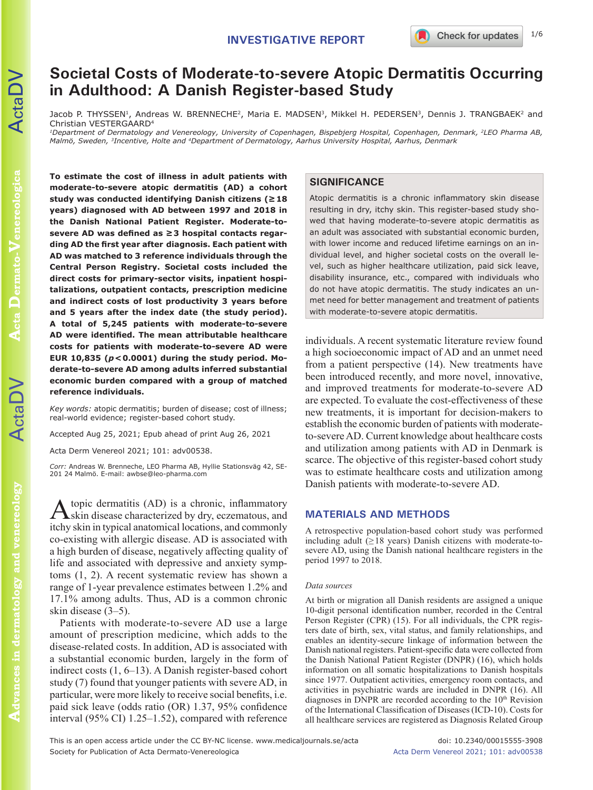# **Societal Costs of Moderate-to-severe Atopic Dermatitis Occurring in Adulthood: A Danish Register-based Study**

Jacob P. THYSSEN<sup>1</sup>, Andreas W. BRENNECHE<sup>2</sup>, Maria E. MADSEN<sup>3</sup>, Mikkel H. PEDERSEN<sup>3</sup>, Dennis J. TRANGBAEK<sup>2</sup> and Christian VESTERGAARD4

*1Department of Dermatology and Venereology, University of Copenhagen, Bispebjerg Hospital, Copenhagen, Denmark, 2LEO Pharma AB, Malmö, Sweden, 3Incentive, Holte and 4Department of Dermatology, Aarhus University Hospital, Aarhus, Denmark*

**To estimate the cost of illness in adult patients with moderate-to-severe atopic dermatitis (AD) a cohort study was conducted identifying Danish citizens (≥18 years) diagnosed with AD between 1997 and 2018 in the Danish National Patient Register. Moderate-tosevere AD was defined as ≥3 hospital contacts regarding AD the first year after diagnosis. Each patient with AD was matched to 3 reference individuals through the Central Person Registry. Societal costs included the direct costs for primary-sector visits, inpatient hospitalizations, outpatient contacts, prescription medicine and indirect costs of lost productivity 3 years before and 5 years after the index date (the study period). A total of 5,245 patients with moderate-to-severe AD were identified. The mean attributable healthcare costs for patients with moderate-to-severe AD were EUR 10,835 (***p***<0.0001) during the study period. Moderate-to-severe AD among adults inferred substantial economic burden compared with a group of matched reference individuals.**

*Key words:* atopic dermatitis; burden of disease; cost of illness; real-world evidence; register-based cohort study.

Accepted Aug 25, 2021; Epub ahead of print Aug 26, 2021

Acta Derm Venereol 2021; 101: adv00538.

*Corr:* Andreas W. Brenneche, LEO Pharma AB, Hyllie Stationsväg 42, SE-201 24 Malmö. E-mail: awbse@leo-pharma.com

Atopic dermatitis (AD) is a chronic, inflammatory skin disease characterized by dry, eczematous, and itchy skin in typical anatomical locations, and commonly co-existing with allergic disease. AD is associated with a high burden of disease, negatively affecting quality of life and associated with depressive and anxiety symptoms (1, 2). A recent systematic review has shown a range of 1-year prevalence estimates between 1.2% and 17.1% among adults. Thus, AD is a common chronic skin disease (3–5).

Patients with moderate-to-severe AD use a large amount of prescription medicine, which adds to the disease-related costs. In addition, AD is associated with a substantial economic burden, largely in the form of indirect costs (1, 6–13). A Danish register-based cohort study (7) found that younger patients with severe AD, in particular, were more likely to receive social benefits, i.e. paid sick leave (odds ratio (OR) 1.37, 95% confidence interval (95% CI) 1.25–1.52), compared with reference

# **SIGNIFICANCE**

Atopic dermatitis is a chronic inflammatory skin disease resulting in dry, itchy skin. This register-based study showed that having moderate-to-severe atopic dermatitis as an adult was associated with substantial economic burden, with lower income and reduced lifetime earnings on an individual level, and higher societal costs on the overall level, such as higher healthcare utilization, paid sick leave, disability insurance, etc., compared with individuals who do not have atopic dermatitis. The study indicates an unmet need for better management and treatment of patients with moderate-to-severe atopic dermatitis.

individuals. A recent systematic literature review found a high socioeconomic impact of AD and an unmet need from a patient perspective (14). New treatments have been introduced recently, and more novel, innovative, and improved treatments for moderate-to-severe AD are expected. To evaluate the cost-effectiveness of these new treatments, it is important for decision-makers to establish the economic burden of patients with moderateto-severe AD. Current knowledge about healthcare costs and utilization among patients with AD in Denmark is scarce. The objective of this register-based cohort study was to estimate healthcare costs and utilization among Danish patients with moderate-to-severe AD.

## **MATERIALS AND METHODS**

A retrospective population-based cohort study was performed including adult  $(\geq 18$  years) Danish citizens with moderate-tosevere AD, using the Danish national healthcare registers in the period 1997 to 2018.

#### *Data sources*

At birth or migration all Danish residents are assigned a unique 10-digit personal identification number, recorded in the Central Person Register (CPR) (15). For all individuals, the CPR registers date of birth, sex, vital status, and family relationships, and enables an identity-secure linkage of information between the Danish national registers. Patient-specific data were collected from the Danish National Patient Register (DNPR) (16), which holds information on all somatic hospitalizations to Danish hospitals since 1977. Outpatient activities, emergency room contacts, and activities in psychiatric wards are included in DNPR (16). All diagnoses in DNPR are recorded according to the  $10<sup>th</sup>$  Revision of the International Classification of Diseases (ICD-10). Costs for all healthcare services are registered as Diagnosis Related Group

This is an open access article under the CC BY-NC license. www.medicaljournals.se/acta doi: 10.2340/00015555-3908 Society for Publication of Acta Dermato-Venereologica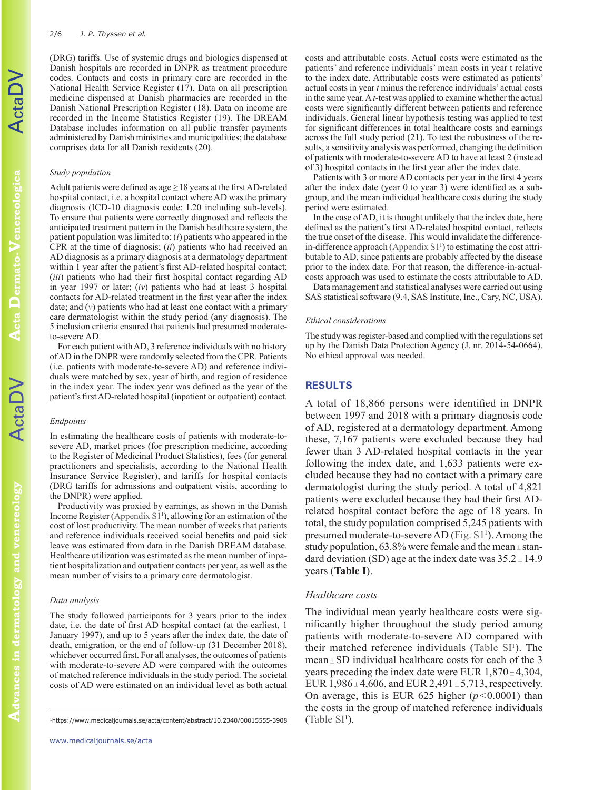(DRG) tariffs. Use of systemic drugs and biologics dispensed at Danish hospitals are recorded in DNPR as treatment procedure codes. Contacts and costs in primary care are recorded in the National Health Service Register (17). Data on all prescription medicine dispensed at Danish pharmacies are recorded in the Danish National Prescription Register (18). Data on income are recorded in the Income Statistics Register (19). The DREAM Database includes information on all public transfer payments administered by Danish ministries and municipalities; the database comprises data for all Danish residents (20).

#### *Study population*

Adult patients were defined as age  $\geq$  18 years at the first AD-related hospital contact, i.e. a hospital contact where AD was the primary diagnosis (ICD-10 diagnosis code: L20 including sub-levels). To ensure that patients were correctly diagnosed and reflects the anticipated treatment pattern in the Danish healthcare system, the patient population was limited to: (*i*) patients who appeared in the CPR at the time of diagnosis; (*ii*) patients who had received an AD diagnosis as a primary diagnosis at a dermatology department within 1 year after the patient's first AD-related hospital contact; (*iii*) patients who had their first hospital contact regarding AD in year 1997 or later; (*iv*) patients who had at least 3 hospital contacts for AD-related treatment in the first year after the index date; and (*v*) patients who had at least one contact with a primary care dermatologist within the study period (any diagnosis). The 5 inclusion criteria ensured that patients had presumed moderateto-severe AD.

For each patient with AD, 3 reference individuals with no history of AD in the DNPR were randomly selected from the CPR. Patients (i.e. patients with moderate-to-severe AD) and reference individuals were matched by sex, year of birth, and region of residence in the index year. The index year was defined as the year of the patient's first AD-related hospital (inpatient or outpatient) contact.

#### *Endpoints*

In estimating the healthcare costs of patients with moderate-tosevere AD, market prices (for prescription medicine, according to the Register of Medicinal Product Statistics), fees (for general practitioners and specialists, according to the National Health Insurance Service Register), and tariffs for hospital contacts (DRG tariffs for admissions and outpatient visits, according to the DNPR) were applied.

Productivity was proxied by earnings, as shown in the Danish Income Register (Appendix  $S1<sup>1</sup>$ ), allowing for an estimation of the cost of lost productivity. The mean number of weeks that patients and reference individuals received social benefits and paid sick leave was estimated from data in the Danish DREAM database. Healthcare utilization was estimated as the mean number of inpatient hospitalization and outpatient contacts per year, as well as the mean number of visits to a primary care dermatologist.

#### *Data analysis*

The study followed participants for 3 years prior to the index date, i.e. the date of first AD hospital contact (at the earliest, 1 January 1997), and up to 5 years after the index date, the date of death, emigration, or the end of follow-up (31 December 2018), whichever occurred first. For all analyses, the outcomes of patients with moderate-to-severe AD were compared with the outcomes of matched reference individuals in the study period. The societal costs of AD were estimated on an individual level as both actual

costs and attributable costs. Actual costs were estimated as the patients' and reference individuals' mean costs in year t relative to the index date. Attributable costs were estimated as patients' actual costs in year *t* minus the reference individuals' actual costs in the same year. A *t*-test was applied to examine whether the actual costs were significantly different between patients and reference individuals. General linear hypothesis testing was applied to test for significant differences in total healthcare costs and earnings across the full study period (21). To test the robustness of the results, a sensitivity analysis was performed, changing the definition of patients with moderate-to-severe AD to have at least 2 (instead of 3) hospital contacts in the first year after the index date.

Patients with 3 or more AD contacts per year in the first 4 years after the index date (year 0 to year 3) were identified as a subgroup, and the mean individual healthcare costs during the study period were estimated.

In the case of AD, it is thought unlikely that the index date, here defined as the patient's first AD-related hospital contact, reflects the true onset of the disease. This would invalidate the differencein-difference approach (Appendix  $S1<sup>1</sup>$ ) to estimating the cost attributable to AD, since patients are probably affected by the disease prior to the index date. For that reason, the difference-in-actualcosts approach was used to estimate the costs attributable to AD.

Data management and statistical analyses were carried out using SAS statistical software (9.4, SAS Institute, Inc., Cary, NC, USA).

#### *Ethical considerations*

The study was register-based and complied with the regulations set up by the Danish Data Protection Agency (J. nr. 2014-54-0664). No ethical approval was needed.

# **RESULTS**

A total of 18,866 persons were identified in DNPR between 1997 and 2018 with a primary diagnosis code of AD, registered at a dermatology department. Among these, 7,167 patients were excluded because they had fewer than 3 AD-related hospital contacts in the year following the index date, and 1,633 patients were excluded because they had no contact with a primary care dermatologist during the study period. A total of 4,821 patients were excluded because they had their first ADrelated hospital contact before the age of 18 years. In total, the study population comprised 5,245 patients with presumed moderate-to-severe AD ([Fig. S1](https://www.medicaljournals.se/acta/content/abstract/10.2340/00015555-3908)<sup>1</sup>). Among the study population,  $63.8\%$  were female and the mean  $\pm$  standard deviation (SD) age at the index date was  $35.2 \pm 14.9$ years (**Table I**).

## *Healthcare costs*

The individual mean yearly healthcare costs were significantly higher throughout the study period among patients with moderate-to-severe AD compared with their matched reference individuals (Table  $SI<sup>1</sup>$ ). The mean  $\pm$  SD individual healthcare costs for each of the 3 years preceding the index date were EUR  $1,870 \pm 4,304$ , EUR  $1,986 \pm 4,606$ , and EUR  $2,491 \pm 5,713$ , respectively. On average, this is EUR 625 higher  $(p<0.0001)$  than the costs in the group of matched reference individuals  $(Table SI<sup>1</sup>)$  $(Table SI<sup>1</sup>)$  $(Table SI<sup>1</sup>)$ .

ActaDV

<sup>).</sup> <sup>1</sup>https://www.medicaljournals.se/acta/content/abstract/10.2340/00015555-3908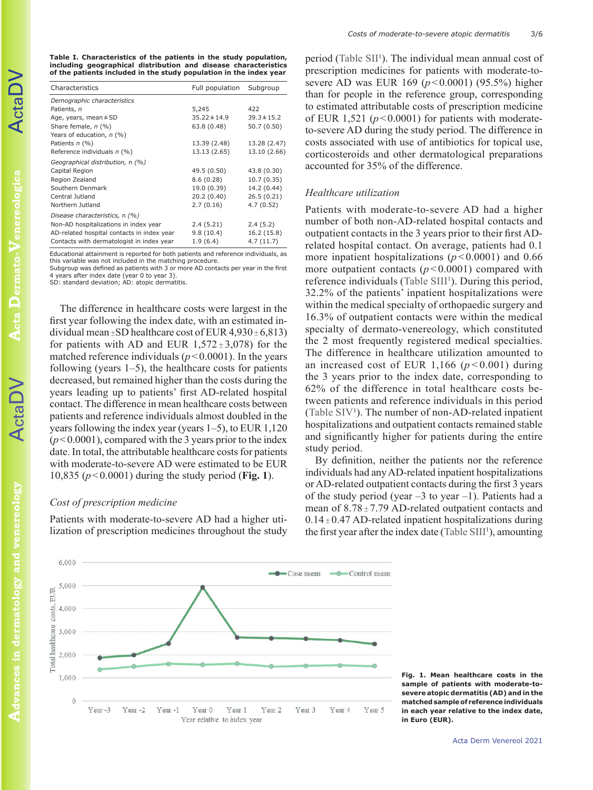**Table I. Characteristics of the patients in the study population, including geographical distribution and disease characteristics of the patients included in the study population in the index year**

| Characteristics                            | Full population  | Subgroup        |  |  |
|--------------------------------------------|------------------|-----------------|--|--|
| Demographic characteristics                |                  |                 |  |  |
| Patients, n                                | 5,245            | 422             |  |  |
| Age, years, mean $\pm$ SD                  | $35.22 \pm 14.9$ | $39.3 \pm 15.2$ |  |  |
| Share female, n (%)                        | 63.8 (0.48)      | 50.7 (0.50)     |  |  |
| Years of education, n (%)                  |                  |                 |  |  |
| Patients $n$ (%)                           | 13.39 (2.48)     | 13.28 (2.47)    |  |  |
| Reference individuals n (%)                | 13.13 (2.65)     | 13.10 (2.66)    |  |  |
| Geographical distribution, n (%)           |                  |                 |  |  |
| Capital Region                             | 49.5 (0.50)      | 43.8 (0.30)     |  |  |
| Region Zealand                             | 8.6(0.28)        | 10.7(0.35)      |  |  |
| Southern Denmark                           | 19.0 (0.39)      | 14.2 (0.44)     |  |  |
| Central Jutland                            | 20.2(0.40)       | 26.5(0.21)      |  |  |
| Northern Jutland                           | 2.7(0.16)        | 4.7(0.52)       |  |  |
| Disease characteristics, n (%)             |                  |                 |  |  |
| Non-AD hospitalizations in index year      | 2.4(5.21)        | 2.4(5.2)        |  |  |
| AD-related hospital contacts in index year | 9.8(10.4)        | 16.2 (15.8)     |  |  |
| Contacts with dermatologist in index year  | 1.9(6.4)         | 4.7(11.7)       |  |  |

Educational attainment is reported for both patients and reference individuals, as this variable was not included in the matching procedure.

Subgroup was defined as patients with 3 or more AD contacts per year in the first 4 years after index date (year 0 to year 3). SD: standard deviation; AD: atopic dermatitis

The difference in healthcare costs were largest in the first year following the index date, with an estimated individual mean  $\pm$ SD healthcare cost of EUR 4,930 $\pm$  6,813) for patients with AD and EUR  $1,572 \pm 3,078$  for the matched reference individuals  $(p<0.0001)$ . In the years following (years  $1-5$ ), the healthcare costs for patients decreased, but remained higher than the costs during the years leading up to patients' first AD-related hospital contact. The difference in mean healthcare costs between patients and reference individuals almost doubled in the years following the index year (years 1–5), to EUR 1,120  $(p<0.0001)$ , compared with the 3 years prior to the index date. In total, the attributable healthcare costs for patients with moderate-to-severe AD were estimated to be EUR 10,835 (*p*<0.0001) during the study period (**Fig. 1**).

### *Cost of prescription medicine*

Patients with moderate-to-severe AD had a higher utilization of prescription medicines throughout the study

period ([Table SII](https://www.medicaljournals.se/acta/content/abstract/10.2340/00015555-3908)<sup>1</sup>). The individual mean annual cost of prescription medicines for patients with moderate-tosevere AD was EUR 169 (*p*<0.0001) (95.5%) higher than for people in the reference group, corresponding to estimated attributable costs of prescription medicine of EUR 1,521 ( $p < 0.0001$ ) for patients with moderateto-severe AD during the study period. The difference in costs associated with use of antibiotics for topical use, corticosteroids and other dermatological preparations accounted for 35% of the difference.

## *Healthcare utilization*

Patients with moderate-to-severe AD had a higher number of both non-AD-related hospital contacts and outpatient contacts in the 3 years prior to their first ADrelated hospital contact. On average, patients had 0.1 more inpatient hospitalizations  $(p<0.0001)$  and 0.66 more outpatient contacts  $(p<0.0001)$  compared with reference individuals (Table SIII<sup>1</sup>). During this period, 32.2% of the patients' inpatient hospitalizations were within the medical specialty of orthopaedic surgery and 16.3% of outpatient contacts were within the medical specialty of dermato-venereology, which constituted the 2 most frequently registered medical specialties. The difference in healthcare utilization amounted to an increased cost of EUR 1,166 ( $p < 0.001$ ) during the 3 years prior to the index date, corresponding to 62% of the difference in total healthcare costs between patients and reference individuals in this period ([Table S](https://www.medicaljournals.se/acta/content/abstract/10.2340/00015555-3908)IV<sup>1</sup>). The number of non-AD-related inpatient hospitalizations and outpatient contacts remained stable and significantly higher for patients during the entire study period.

By definition, neither the patients nor the reference individuals had any AD-related inpatient hospitalizations or AD-related outpatient contacts during the first 3 years of the study period (year  $-3$  to year  $-1$ ). Patients had a mean of  $8.78 \pm 7.79$  AD-related outpatient contacts and  $0.14 \pm 0.47$  AD-related inpatient hospitalizations during the first year after the index date [\(Table SI](https://www.medicaljournals.se/acta/content/abstract/10.2340/00015555-3908)II<sup>1</sup>), amounting



**Fig. 1. Mean healthcare costs in the sample of patients with moderate-tosevere atopic dermatitis (AD) and in the matched sample of reference individuals in each year relative to the index date, in Euro (EUR).**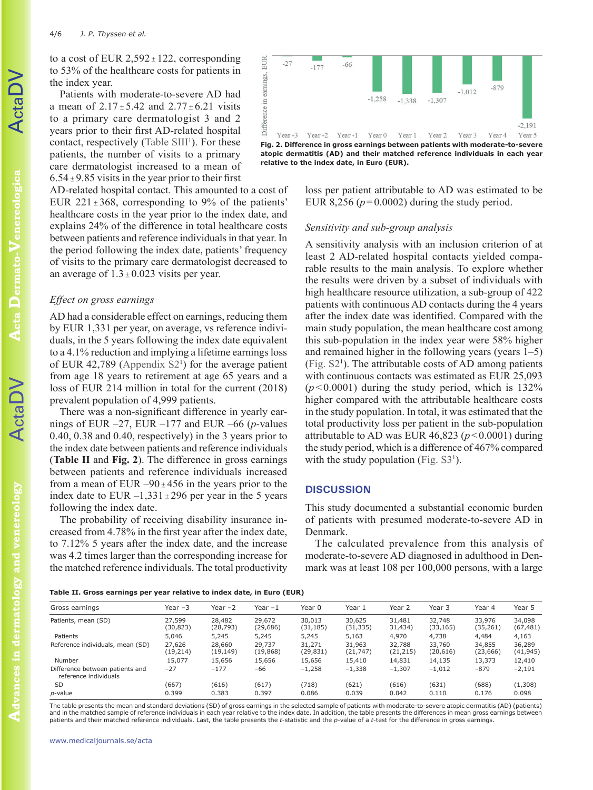to a cost of EUR  $2,592 \pm 122$ , corresponding to 53% of the healthcare costs for patients in the index year.

Patients with moderate-to-severe AD had a mean of  $2.17 \pm 5.42$  and  $2.77 \pm 6.21$  visits to a primary care dermatologist 3 and 2 years prior to their first AD-related hospital contact, respectively ([Table SI](https://www.medicaljournals.se/acta/content/abstract/10.2340/00015555-3908)II<sup>1</sup>). For these patients, the number of visits to a primary care dermatologist increased to a mean of  $6.54 \pm 9.85$  visits in the year prior to their first

AD-related hospital contact. This amounted to a cost of EUR 221 $\pm$ 368, corresponding to 9% of the patients' healthcare costs in the year prior to the index date, and explains 24% of the difference in total healthcare costs between patients and reference individuals in that year. In the period following the index date, patients' frequency of visits to the primary care dermatologist decreased to an average of  $1.3 \pm 0.023$  visits per year.

## *Effect on gross earnings*

AD had a considerable effect on earnings, reducing them by EUR 1,331 per year, on average, vs reference individuals, in the 5 years following the index date equivalent to a 4.1% reduction and implying a lifetime earnings loss of EUR 42,789 (Appendix  $S2<sup>1</sup>$ ) for the average patient from age 18 years to retirement at age 65 years and a loss of EUR 214 million in total for the current (2018) prevalent population of 4,999 patients.

There was a non-significant difference in yearly earnings of EUR  $-27$ , EUR  $-177$  and EUR  $-66$  (*p*-values 0.40, 0.38 and 0.40, respectively) in the 3 years prior to the index date between patients and reference individuals (**Table II** and **Fig. 2**). The difference in gross earnings between patients and reference individuals increased from a mean of EUR –90 $\pm$ 456 in the years prior to the index date to EUR  $-1,331 \pm 296$  per year in the 5 years following the index date.

The probability of receiving disability insurance increased from 4.78% in the first year after the index date, to 7.12% 5 years after the index date, and the increase was 4.2 times larger than the corresponding increase for the matched reference individuals. The total productivity



loss per patient attributable to AD was estimated to be EUR 8,256 ( $p=0.0002$ ) during the study period.

# *Sensitivity and sub-group analysis*

A sensitivity analysis with an inclusion criterion of at least 2 AD-related hospital contacts yielded comparable results to the main analysis. To explore whether the results were driven by a subset of individuals with high healthcare resource utilization, a sub-group of 422 patients with continuous AD contacts during the 4 years after the index date was identified. Compared with the main study population, the mean healthcare cost among this sub-population in the index year were 58% higher and remained higher in the following years (years 1–5) ([Fig. S2](https://www.medicaljournals.se/acta/content/abstract/10.2340/00015555-3908)<sup>1</sup> ). The attributable costs of AD among patients with continuous contacts was estimated as EUR 25,093  $(p<0.0001)$  during the study period, which is 132% higher compared with the attributable healthcare costs in the study population. In total, it was estimated that the total productivity loss per patient in the sub-population attributable to AD was EUR 46,823 ( $p < 0.0001$ ) during the study period, which is a difference of 467% compared with the study population (Fig.  $S3<sup>1</sup>$ ).

#### **DISCUSSION**

This study documented a substantial economic burden of patients with presumed moderate-to-severe AD in Denmark.

The calculated prevalence from this analysis of moderate-to-severe AD diagnosed in adulthood in Denmark was at least 108 per 100,000 persons, with a large

|  |  | Table II. Gross earnings per year relative to index date, in Euro (EUR) |  |  |  |  |  |  |  |  |  |  |
|--|--|-------------------------------------------------------------------------|--|--|--|--|--|--|--|--|--|--|
|--|--|-------------------------------------------------------------------------|--|--|--|--|--|--|--|--|--|--|

| Gross earnings                                           | Year $-3$           | Year $-2$           | Year $-1$           | Year 0              | Year 1              | Year 2              | Year 3              | Year 4              | Year 5              |
|----------------------------------------------------------|---------------------|---------------------|---------------------|---------------------|---------------------|---------------------|---------------------|---------------------|---------------------|
| Patients, mean (SD)                                      | 27,599<br>(30,823)  | 28,482<br>(28, 793) | 29,672<br>(29, 686) | 30,013<br>(31, 185) | 30,625<br>(31, 335) | 31,481<br>31,434)   | 32,748<br>(33, 165) | 33,976<br>(35, 261) | 34,098<br>(67, 481) |
| Patients                                                 | 5,046               | 5,245               | 5,245               | 5,245               | 5,163               | 4,970               | 4,738               | 4,484               | 4,163               |
| Reference individuals, mean (SD)                         | 27,626<br>(19, 214) | 28,660<br>(19,149)  | 29,737<br>(19, 868) | 31,271<br>(29, 831) | 31,963<br>(21, 747) | 32,788<br>(21, 215) | 33,760<br>(20, 616) | 34,855<br>(23, 666) | 36,289<br>(41, 945) |
| Number                                                   | 15,077              | 15,656              | 15,656              | 15,656              | 15,410              | 14,831              | 14,135              | 13,373              | 12,410              |
| Difference between patients and<br>reference individuals | $-27$               | $-177$              | -66                 | $-1,258$            | $-1,338$            | $-1,307$            | $-1,012$            | $-879$              | $-2,191$            |
| <b>SD</b>                                                | (667)               | (616)               | (617)               | (718)               | (621)               | (616)               | (631)               | (688)               | (1,308)             |
| <i>p</i> -value                                          | 0.399               | 0.383               | 0.397               | 0.086               | 0.039               | 0.042               | 0.110               | 0.176               | 0.098               |

The table presents the mean and standard deviations (SD) of gross earnings in the selected sample of patients with moderate-to-severe atopic dermatitis (AD) (patients) and in the matched sample of reference individuals in each year relative to the index date. In addition, the table presents the differences in mean gross earnings between patients and their matched reference individuals. Last, the table presents the *t*-statistic and the *p*-value of a *t*-test for the difference in gross earnings.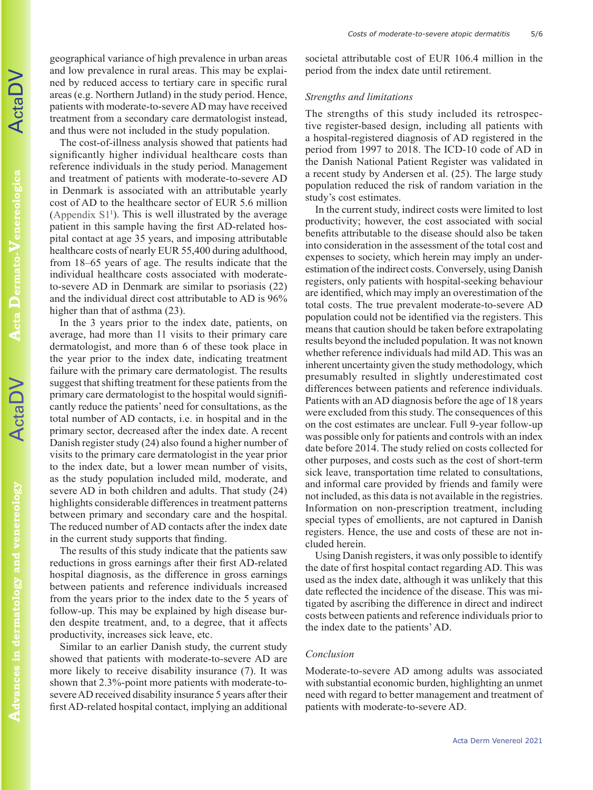ActaDV

geographical variance of high prevalence in urban areas and low prevalence in rural areas. This may be explained by reduced access to tertiary care in specific rural areas (e.g. Northern Jutland) in the study period. Hence, patients with moderate-to-severe AD may have received treatment from a secondary care dermatologist instead, and thus were not included in the study population.

The cost-of-illness analysis showed that patients had significantly higher individual healthcare costs than reference individuals in the study period. Management and treatment of patients with moderate-to-severe AD in Denmark is associated with an attributable yearly cost of AD to the healthcare sector of EUR 5.6 million (Appendix  $S1<sup>1</sup>$ ). This is well illustrated by the average patient in this sample having the first AD-related hospital contact at age 35 years, and imposing attributable healthcare costs of nearly EUR 55,400 during adulthood, from 18–65 years of age. The results indicate that the individual healthcare costs associated with moderateto-severe AD in Denmark are similar to psoriasis (22) and the individual direct cost attributable to AD is 96% higher than that of asthma  $(23)$ .

In the 3 years prior to the index date, patients, on average, had more than 11 visits to their primary care dermatologist, and more than 6 of these took place in the year prior to the index date, indicating treatment failure with the primary care dermatologist. The results suggest that shifting treatment for these patients from the primary care dermatologist to the hospital would significantly reduce the patients' need for consultations, as the total number of AD contacts, i.e. in hospital and in the primary sector, decreased after the index date. A recent Danish register study (24) also found a higher number of visits to the primary care dermatologist in the year prior to the index date, but a lower mean number of visits, as the study population included mild, moderate, and severe AD in both children and adults. That study (24) highlights considerable differences in treatment patterns between primary and secondary care and the hospital. The reduced number of AD contacts after the index date in the current study supports that finding.

The results of this study indicate that the patients saw reductions in gross earnings after their first AD-related hospital diagnosis, as the difference in gross earnings between patients and reference individuals increased from the years prior to the index date to the 5 years of follow-up. This may be explained by high disease burden despite treatment, and, to a degree, that it affects productivity, increases sick leave, etc.

Similar to an earlier Danish study, the current study showed that patients with moderate-to-severe AD are more likely to receive disability insurance (7). It was shown that 2.3%-point more patients with moderate-tosevere AD received disability insurance 5 years after their first AD-related hospital contact, implying an additional

societal attributable cost of EUR 106.4 million in the period from the index date until retirement.

## *Strengths and limitations*

The strengths of this study included its retrospective register-based design, including all patients with a hospital-registered diagnosis of AD registered in the period from 1997 to 2018. The ICD-10 code of AD in the Danish National Patient Register was validated in a recent study by Andersen et al. (25). The large study population reduced the risk of random variation in the study's cost estimates.

In the current study, indirect costs were limited to lost productivity; however, the cost associated with social benefits attributable to the disease should also be taken into consideration in the assessment of the total cost and expenses to society, which herein may imply an underestimation of the indirect costs. Conversely, using Danish registers, only patients with hospital-seeking behaviour are identified, which may imply an overestimation of the total costs. The true prevalent moderate-to-severe AD population could not be identified via the registers. This means that caution should be taken before extrapolating results beyond the included population. It was not known whether reference individuals had mild AD. This was an inherent uncertainty given the study methodology, which presumably resulted in slightly underestimated cost differences between patients and reference individuals. Patients with an AD diagnosis before the age of 18 years were excluded from this study. The consequences of this on the cost estimates are unclear. Full 9-year follow-up was possible only for patients and controls with an index date before 2014. The study relied on costs collected for other purposes, and costs such as the cost of short-term sick leave, transportation time related to consultations, and informal care provided by friends and family were not included, as this data is not available in the registries. Information on non-prescription treatment, including special types of emollients, are not captured in Danish registers. Hence, the use and costs of these are not included herein.

Using Danish registers, it was only possible to identify the date of first hospital contact regarding AD. This was used as the index date, although it was unlikely that this date reflected the incidence of the disease. This was mitigated by ascribing the difference in direct and indirect costs between patients and reference individuals prior to the index date to the patients' AD.

## *Conclusion*

Moderate-to-severe AD among adults was associated with substantial economic burden, highlighting an unmet need with regard to better management and treatment of patients with moderate-to-severe AD.